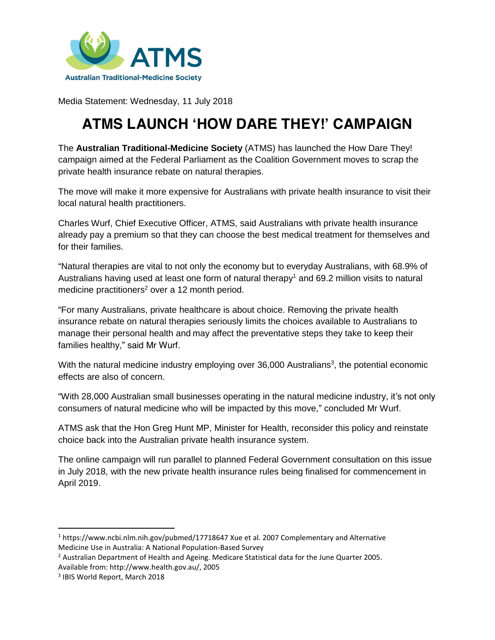

Media Statement: Wednesday, 11 July 2018

# **ATMS LAUNCH 'HOW DARE THEY!' CAMPAIGN**

The **Australian Traditional-Medicine Society** (ATMS) has launched the How Dare They! campaign aimed at the Federal Parliament as the Coalition Government moves to scrap the private health insurance rebate on natural therapies.

The move will make it more expensive for Australians with private health insurance to visit their local natural health practitioners.

Charles Wurf, Chief Executive Officer, ATMS, said Australians with private health insurance already pay a premium so that they can choose the best medical treatment for themselves and for their families.

"Natural therapies are vital to not only the economy but to everyday Australians, with 68.9% of Australians having used at least one form of natural therapy<sup>1</sup> and 69.2 million visits to natural medicine practitioners<sup>2</sup> over a 12 month period.

"For many Australians, private healthcare is about choice. Removing the private health insurance rebate on natural therapies seriously limits the choices available to Australians to manage their personal health and may affect the preventative steps they take to keep their families healthy," said Mr Wurf.

With the natural medicine industry employing over 36,000 Australians<sup>3</sup>, the potential economic effects are also of concern.

"With 28,000 Australian small businesses operating in the natural medicine industry, it's not only consumers of natural medicine who will be impacted by this move," concluded Mr Wurf.

ATMS ask that the Hon Greg Hunt MP, Minister for Health, reconsider this policy and reinstate choice back into the Australian private health insurance system.

The online campaign will run parallel to planned Federal Government consultation on this issue in July 2018, with the new private health insurance rules being finalised for commencement in April 2019.

 $\overline{\phantom{a}}$ 

<sup>1</sup> https://www.ncbi.nlm.nih.gov/pubmed/17718647 Xue et al. 2007 Complementary and Alternative Medicine Use in Australia: A National Population-Based Survey

<sup>&</sup>lt;sup>2</sup> Australian Department of Health and Ageing. Medicare Statistical data for the June Quarter 2005. Available from: http://www.health.gov.au/, 2005

<sup>3</sup> IBIS World Report, March 2018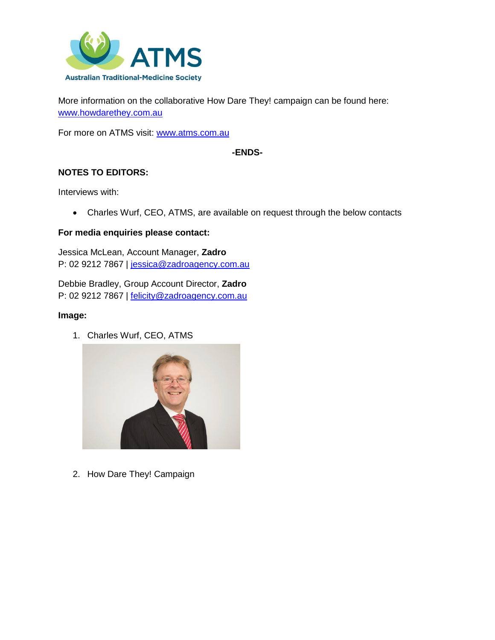

More information on the collaborative How Dare They! campaign can be found here: [www.howdarethey.com.au](http://www.howdarethey.com.au/)

For more on ATMS visit: [www.atms.com.au](http://www.atms.com.au/)

### **-ENDS-**

## **NOTES TO EDITORS:**

Interviews with:

• Charles Wurf, CEO, ATMS, are available on request through the below contacts

#### **For media enquiries please contact:**

Jessica McLean, Account Manager, **Zadro** P: 02 9212 7867 | [jessica@zadroagency.com.au](mailto:jessica@zadroagency.com.au)

Debbie Bradley, Group Account Director, **Zadro** P: 02 9212 7867 | [felicity@zadroagency.com.au](mailto:felicity@zadroagency.com.au)

#### **Image:**

1. Charles Wurf, CEO, ATMS



2. How Dare They! Campaign